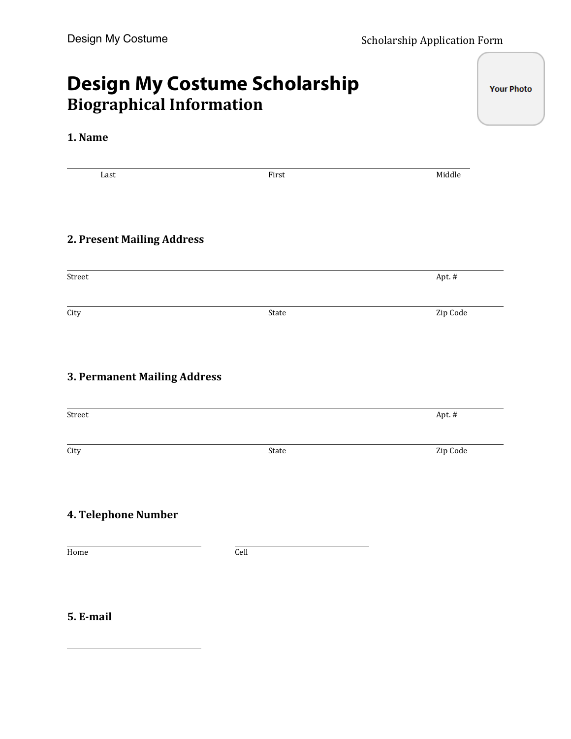**Your Photo** 

## **Design My Costume Scholarship Biographical\$Information**

## **1. Name**

Last' ' ' ' ' First' ' ' ' ' Middle **2. Present Mailing Address** Street' ' ' ' ' ' ' ' ' ' ' Apt.'# City' ' ' ' ' ' State' ' ' ' ' Zip'Code **3. Permanent Mailing Address** Street' ' ' ' ' ' ' ' ' ' ' Apt.'# City' ' ' ' ' ' State' ' ' ' ' Zip'Code **4. Telephone Number** Home  $\hbox{Cell}$ 

## **5. E-mail**